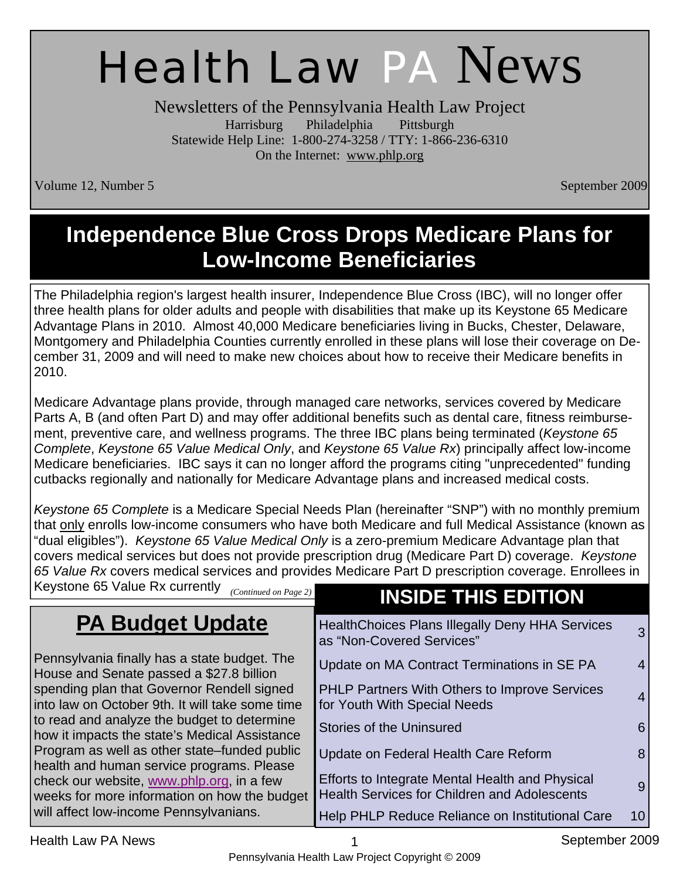# Health Law PA News

Newsletters of the Pennsylvania Health Law Project Harrisburg Philadelphia Pittsburgh Statewide Help Line: 1-800-274-3258 / TTY: 1-866-236-6310 On the Internet: www.phlp.org

Volume 12, Number 5 September 2009

## **Independence Blue Cross Drops Medicare Plans for Low-Income Beneficiaries**

The Philadelphia region's largest health insurer, Independence Blue Cross (IBC), will no longer offer three health plans for older adults and people with disabilities that make up its Keystone 65 Medicare Advantage Plans in 2010. Almost 40,000 Medicare beneficiaries living in Bucks, Chester, Delaware, Montgomery and Philadelphia Counties currently enrolled in these plans will lose their coverage on December 31, 2009 and will need to make new choices about how to receive their Medicare benefits in 2010.

Medicare Advantage plans provide, through managed care networks, services covered by Medicare Parts A, B (and often Part D) and may offer additional benefits such as dental care, fitness reimbursement, preventive care, and wellness programs. The three IBC plans being terminated (*Keystone 65 Complete*, *Keystone 65 Value Medical Only*, and *Keystone 65 Value Rx*) principally affect low-income Medicare beneficiaries. IBC says it can no longer afford the programs citing "unprecedented" funding cutbacks regionally and nationally for Medicare Advantage plans and increased medical costs.

*Keystone 65 Complete* is a Medicare Special Needs Plan (hereinafter "SNP") with no monthly premium that only enrolls low-income consumers who have both Medicare and full Medical Assistance (known as "dual eligibles"). *Keystone 65 Value Medical Only* is a zero-premium Medicare Advantage plan that covers medical services but does not provide prescription drug (Medicare Part D) coverage. *Keystone 65 Value Rx* covers medical services and provides Medicare Part D prescription coverage. Enrollees in

| Keystone 65 Value Rx currently<br>(Continued on Page 2)                                       | <b>INSIDE THIS EDITION</b>                                                                                  |
|-----------------------------------------------------------------------------------------------|-------------------------------------------------------------------------------------------------------------|
| <b>PA Budget Update</b>                                                                       | <b>HealthChoices Plans Illegally Deny HHA Services</b><br>$\mathbf{3}$<br>as "Non-Covered Services"         |
| Pennsylvania finally has a state budget. The<br>House and Senate passed a \$27.8 billion      | Update on MA Contract Terminations in SE PA<br>4 <sup>1</sup>                                               |
| spending plan that Governor Rendell signed<br>into law on October 9th. It will take some time | PHLP Partners With Others to Improve Services<br>$\overline{4}$<br>for Youth With Special Needs             |
| to read and analyze the budget to determine<br>how it impacts the state's Medical Assistance  | <b>Stories of the Uninsured</b><br>6                                                                        |
| Program as well as other state–funded public<br>health and human service programs. Please     | Update on Federal Health Care Reform<br>8                                                                   |
| check our website, www.phlp.org, in a few<br>weeks for more information on how the budget     | Efforts to Integrate Mental Health and Physical<br>9<br><b>Health Services for Children and Adolescents</b> |
| will affect low-income Pennsylvanians.                                                        | Help PHLP Reduce Reliance on Institutional Care<br>10 <sub>1</sub>                                          |

Health Law PA News 1 September 2009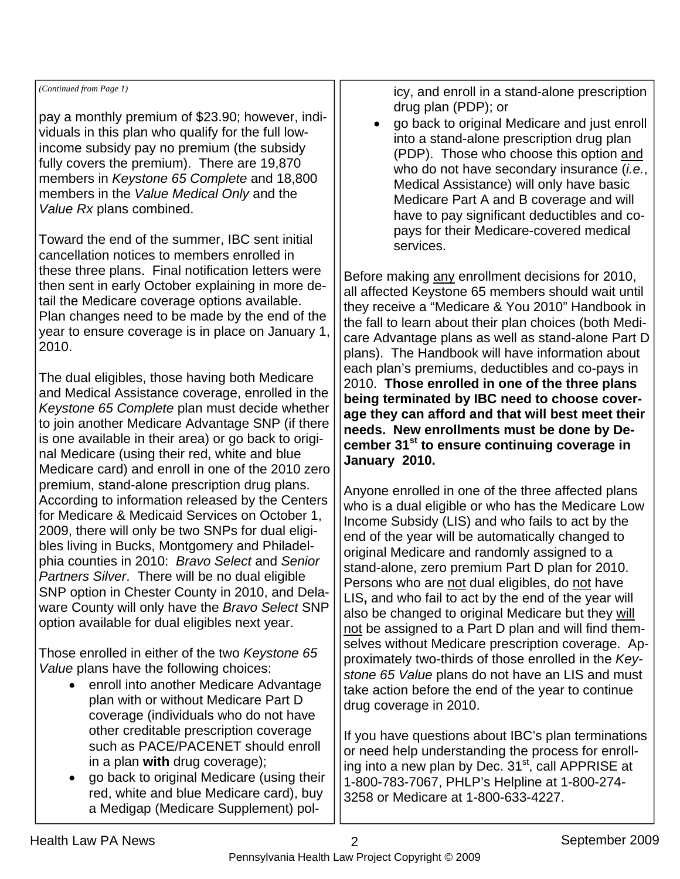*(Continued from Page 1)* 

pay a monthly premium of \$23.90; however, individuals in this plan who qualify for the full lowincome subsidy pay no premium (the subsidy fully covers the premium). There are 19,870 members in *Keystone 65 Complete* and 18,800 members in the *Value Medical Only* and the *Value Rx* plans combined.

Toward the end of the summer, IBC sent initial cancellation notices to members enrolled in these three plans. Final notification letters were then sent in early October explaining in more detail the Medicare coverage options available. Plan changes need to be made by the end of the year to ensure coverage is in place on January 1, 2010.

The dual eligibles, those having both Medicare and Medical Assistance coverage, enrolled in the *Keystone 65 Complete* plan must decide whether to join another Medicare Advantage SNP (if there is one available in their area) or go back to original Medicare (using their red, white and blue Medicare card) and enroll in one of the 2010 zero premium, stand-alone prescription drug plans. According to information released by the Centers for Medicare & Medicaid Services on October 1, 2009, there will only be two SNPs for dual eligibles living in Bucks, Montgomery and Philadelphia counties in 2010: *Bravo Select* and *Senior Partners Silver*. There will be no dual eligible SNP option in Chester County in 2010, and Delaware County will only have the *Bravo Select* SNP option available for dual eligibles next year.

Those enrolled in either of the two *Keystone 65 Value* plans have the following choices:

- enroll into another Medicare Advantage plan with or without Medicare Part D coverage (individuals who do not have other creditable prescription coverage such as PACE/PACENET should enroll in a plan **with** drug coverage);
- go back to original Medicare (using their red, white and blue Medicare card), buy a Medigap (Medicare Supplement) pol-

icy, and enroll in a stand-alone prescription drug plan (PDP); or

• go back to original Medicare and just enroll into a stand-alone prescription drug plan (PDP). Those who choose this option and who do not have secondary insurance (*i.e.*, Medical Assistance) will only have basic Medicare Part A and B coverage and will have to pay significant deductibles and copays for their Medicare-covered medical services.

Before making any enrollment decisions for 2010, all affected Keystone 65 members should wait until they receive a "Medicare & You 2010" Handbook in the fall to learn about their plan choices (both Medicare Advantage plans as well as stand-alone Part D plans). The Handbook will have information about each plan's premiums, deductibles and co-pays in 2010. **Those enrolled in one of the three plans being terminated by IBC need to choose coverage they can afford and that will best meet their needs. New enrollments must be done by December 31st to ensure continuing coverage in January 2010.**

Anyone enrolled in one of the three affected plans who is a dual eligible or who has the Medicare Low Income Subsidy (LIS) and who fails to act by the end of the year will be automatically changed to original Medicare and randomly assigned to a stand-alone, zero premium Part D plan for 2010. Persons who are not dual eligibles, do not have LIS**,** and who fail to act by the end of the year will also be changed to original Medicare but they will not be assigned to a Part D plan and will find themselves without Medicare prescription coverage. Approximately two-thirds of those enrolled in the *Keystone 65 Value* plans do not have an LIS and must take action before the end of the year to continue drug coverage in 2010.

If you have questions about IBC's plan terminations or need help understanding the process for enrolling into a new plan by Dec.  $31<sup>st</sup>$ , call APPRISE at 1-800-783-7067, PHLP's Helpline at 1-800-274- 3258 or Medicare at 1-800-633-4227.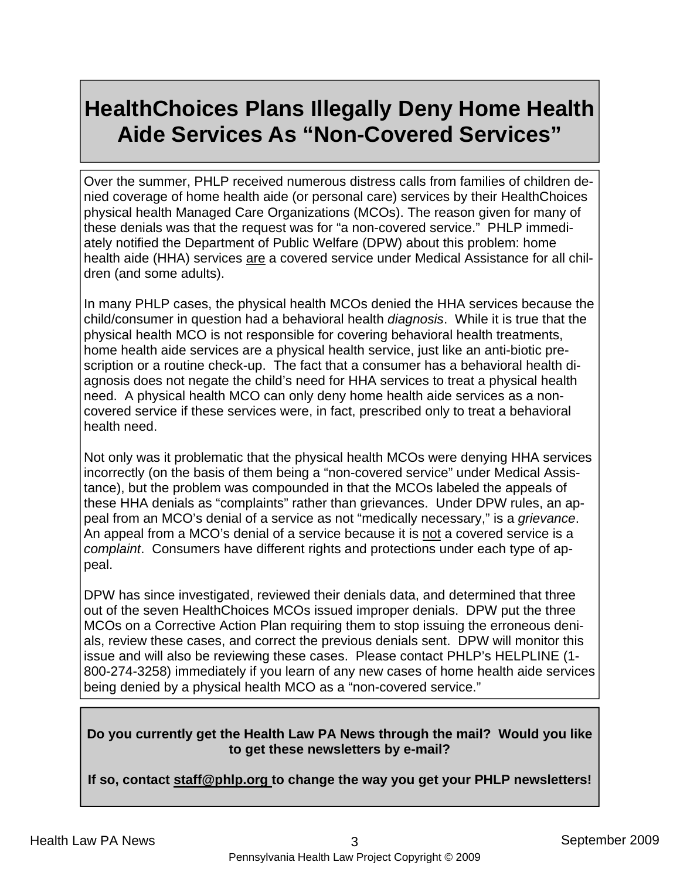### **HealthChoices Plans Illegally Deny Home Health Aide Services As "Non-Covered Services"**

Over the summer, PHLP received numerous distress calls from families of children denied coverage of home health aide (or personal care) services by their HealthChoices physical health Managed Care Organizations (MCOs). The reason given for many of these denials was that the request was for "a non-covered service." PHLP immediately notified the Department of Public Welfare (DPW) about this problem: home health aide (HHA) services are a covered service under Medical Assistance for all children (and some adults).

In many PHLP cases, the physical health MCOs denied the HHA services because the child/consumer in question had a behavioral health *diagnosis*. While it is true that the physical health MCO is not responsible for covering behavioral health treatments, home health aide services are a physical health service, just like an anti-biotic prescription or a routine check-up. The fact that a consumer has a behavioral health diagnosis does not negate the child's need for HHA services to treat a physical health need. A physical health MCO can only deny home health aide services as a noncovered service if these services were, in fact, prescribed only to treat a behavioral health need.

Not only was it problematic that the physical health MCOs were denying HHA services incorrectly (on the basis of them being a "non-covered service" under Medical Assistance), but the problem was compounded in that the MCOs labeled the appeals of these HHA denials as "complaints" rather than grievances. Under DPW rules, an appeal from an MCO's denial of a service as not "medically necessary," is a *grievance*. An appeal from a MCO's denial of a service because it is not a covered service is a *complaint*. Consumers have different rights and protections under each type of appeal.

DPW has since investigated, reviewed their denials data, and determined that three out of the seven HealthChoices MCOs issued improper denials. DPW put the three MCOs on a Corrective Action Plan requiring them to stop issuing the erroneous denials, review these cases, and correct the previous denials sent. DPW will monitor this issue and will also be reviewing these cases. Please contact PHLP's HELPLINE (1- 800-274-3258) immediately if you learn of any new cases of home health aide services being denied by a physical health MCO as a "non-covered service."

#### **Do you currently get the Health Law PA News through the mail? Would you like to get these newsletters by e-mail?**

**If so, contact staff@phlp.org to change the way you get your PHLP newsletters!**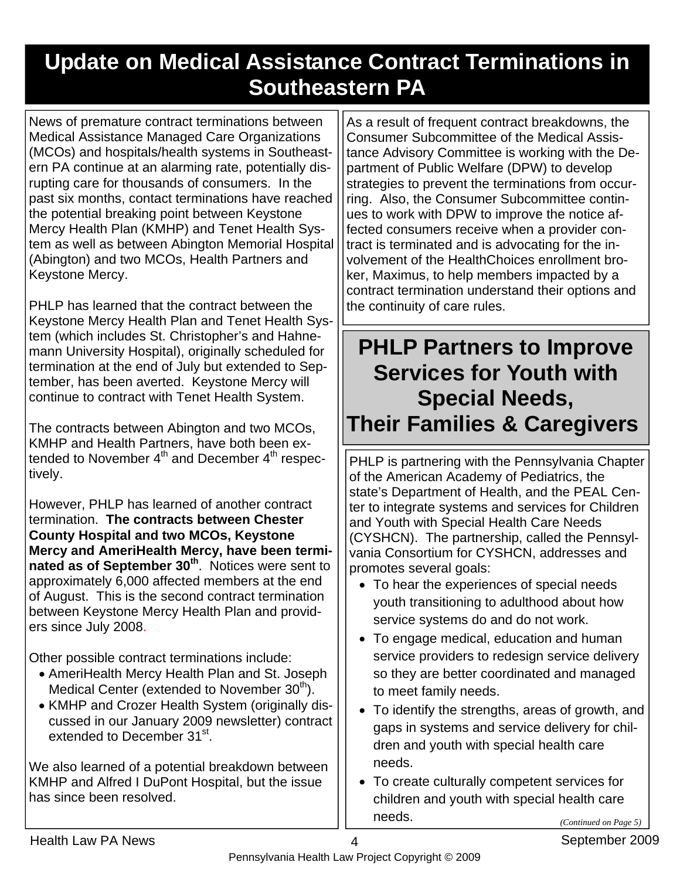## **Update on Medical Assistance Contract Terminations in Southeastern PA**

News of premature contract terminations between Medical Assistance Managed Care Organizations (MCOs) and hospitals/health systems in Southeastern PA continue at an alarming rate, potentially disrupting care for thousands of consumers. In the past six months, contact terminations have reached the potential breaking point between Keystone Mercy Health Plan (KMHP) and Tenet Health System as well as between Abington Memorial Hospital (Abington) and two MCOs, Health Partners and Keystone Mercy.

PHLP has learned that the contract between the Keystone Mercy Health Plan and Tenet Health System (which includes St. Christopher's and Hahnemann University Hospital), originally scheduled for termination at the end of July but extended to September, has been averted. Keystone Mercy will continue to contract with Tenet Health System.

The contracts between Abington and two MCOs, KMHP and Health Partners, have both been extended to November  $4<sup>th</sup>$  and December  $4<sup>th</sup>$  respectively.

However, PHLP has learned of another contract termination. **The contracts between Chester County Hospital and two MCOs, Keystone Mercy and AmeriHealth Mercy, have been termi**nated as of September 30<sup>th</sup>. Notices were sent to approximately 6,000 affected members at the end of August. This is the second contract termination between Keystone Mercy Health Plan and providers since July 2008.

Other possible contract terminations include:

- AmeriHealth Mercy Health Plan and St. Joseph Medical Center (extended to November  $30<sup>th</sup>$ ).
- KMHP and Crozer Health System (originally discussed in our January 2009 newsletter) contract extended to December 31<sup>st</sup>.

We also learned of a potential breakdown between KMHP and Alfred I DuPont Hospital, but the issue has since been resolved.

As a result of frequent contract breakdowns, the Consumer Subcommittee of the Medical Assistance Advisory Committee is working with the Department of Public Welfare (DPW) to develop strategies to prevent the terminations from occurring. Also, the Consumer Subcommittee continues to work with DPW to improve the notice affected consumers receive when a provider contract is terminated and is advocating for the involvement of the HealthChoices enrollment broker, Maximus, to help members impacted by a contract termination understand their options and the continuity of care rules.

**PHLP Partners to Improve Services for Youth with Special Needs, Their Families & Caregivers**

PHLP is partnering with the Pennsylvania Chapter of the American Academy of Pediatrics, the state's Department of Health, and the PEAL Center to integrate systems and services for Children and Youth with Special Health Care Needs (CYSHCN). The partnership, called the Pennsylvania Consortium for CYSHCN, addresses and promotes several goals:

- To hear the experiences of special needs youth transitioning to adulthood about how service systems do and do not work.
- To engage medical, education and human service providers to redesign service delivery so they are better coordinated and managed to meet family needs.
- To identify the strengths, areas of growth, and gaps in systems and service delivery for children and youth with special health care needs.
- To create culturally competent services for children and youth with special health care needs. *(Continued on Page 5)*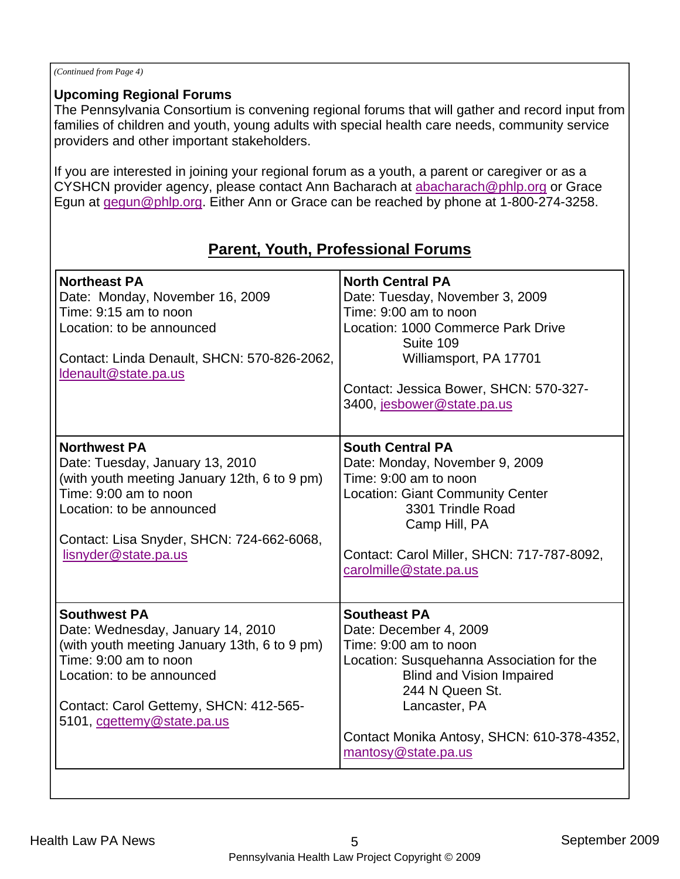#### *(Continued from Page 4)*

#### **Upcoming Regional Forums**

The Pennsylvania Consortium is convening regional forums that will gather and record input from families of children and youth, young adults with special health care needs, community service providers and other important stakeholders.

If you are interested in joining your regional forum as a youth, a parent or caregiver or as a CYSHCN provider agency, please contact Ann Bacharach at abacharach@phlp.org or Grace Egun at gegun@phlp.org. Either Ann or Grace can be reached by phone at 1-800-274-3258.

| <b>Northeast PA</b><br>Date: Monday, November 16, 2009<br>Time: 9:15 am to noon<br>Location: to be announced<br>Contact: Linda Denault, SHCN: 570-826-2062,<br>Idenault@state.pa.us                                                    | <b>North Central PA</b><br>Date: Tuesday, November 3, 2009<br>Time: 9:00 am to noon<br>Location: 1000 Commerce Park Drive<br>Suite 109<br>Williamsport, PA 17701<br>Contact: Jessica Bower, SHCN: 570-327-<br>3400, jesbower@state.pa.us                         |
|----------------------------------------------------------------------------------------------------------------------------------------------------------------------------------------------------------------------------------------|------------------------------------------------------------------------------------------------------------------------------------------------------------------------------------------------------------------------------------------------------------------|
| <b>Northwest PA</b><br>Date: Tuesday, January 13, 2010<br>(with youth meeting January 12th, 6 to 9 pm)<br>Time: 9:00 am to noon<br>Location: to be announced<br>Contact: Lisa Snyder, SHCN: 724-662-6068,<br>lisnyder@state.pa.us      | <b>South Central PA</b><br>Date: Monday, November 9, 2009<br>Time: 9:00 am to noon<br><b>Location: Giant Community Center</b><br>3301 Trindle Road<br>Camp Hill, PA<br>Contact: Carol Miller, SHCN: 717-787-8092,<br>carolmille@state.pa.us                      |
| <b>Southwest PA</b><br>Date: Wednesday, January 14, 2010<br>(with youth meeting January 13th, 6 to 9 pm)<br>Time: 9:00 am to noon<br>Location: to be announced<br>Contact: Carol Gettemy, SHCN: 412-565-<br>5101, cgettemy@state.pa.us | <b>Southeast PA</b><br>Date: December 4, 2009<br>Time: 9:00 am to noon<br>Location: Susquehanna Association for the<br><b>Blind and Vision Impaired</b><br>244 N Queen St.<br>Lancaster, PA<br>Contact Monika Antosy, SHCN: 610-378-4352,<br>mantosy@state.pa.us |

#### **Parent, Youth, Professional Forums**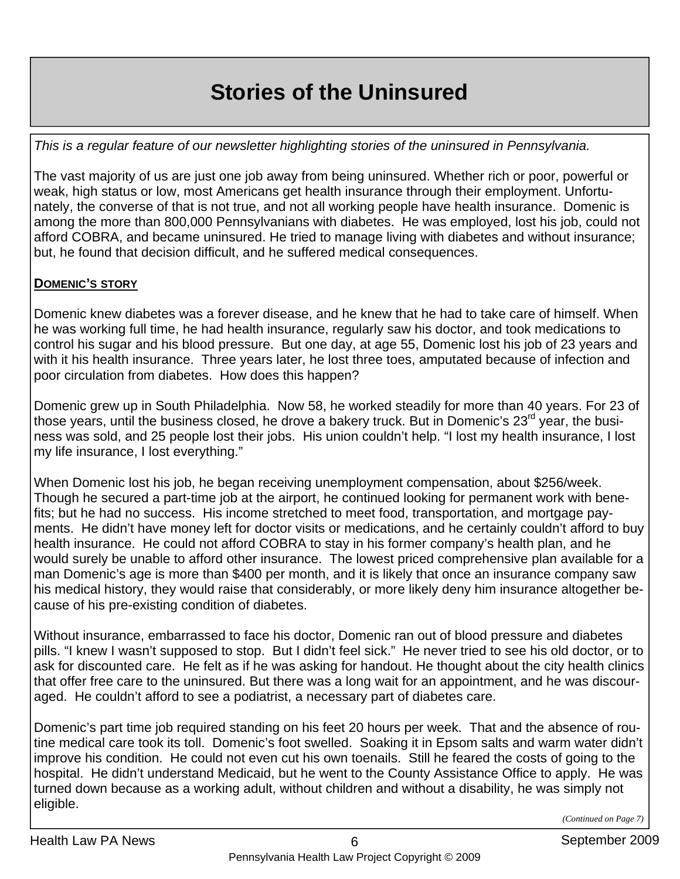# **Stories of the Uninsured**

*This is a regular feature of our newsletter highlighting stories of the uninsured in Pennsylvania.* 

The vast majority of us are just one job away from being uninsured. Whether rich or poor, powerful or weak, high status or low, most Americans get health insurance through their employment. Unfortunately, the converse of that is not true, and not all working people have health insurance. Domenic is among the more than 800,000 Pennsylvanians with diabetes. He was employed, lost his job, could not afford COBRA, and became uninsured. He tried to manage living with diabetes and without insurance; but, he found that decision difficult, and he suffered medical consequences.

#### **DOMENIC'S STORY**

Domenic knew diabetes was a forever disease, and he knew that he had to take care of himself. When he was working full time, he had health insurance, regularly saw his doctor, and took medications to control his sugar and his blood pressure. But one day, at age 55, Domenic lost his job of 23 years and with it his health insurance. Three years later, he lost three toes, amputated because of infection and poor circulation from diabetes. How does this happen?

Domenic grew up in South Philadelphia. Now 58, he worked steadily for more than 40 years. For 23 of those years, until the business closed, he drove a bakery truck. But in Domenic's 23<sup>rd</sup> year, the business was sold, and 25 people lost their jobs. His union couldn't help. "I lost my health insurance, I lost my life insurance, I lost everything."

When Domenic lost his job, he began receiving unemployment compensation, about \$256/week. Though he secured a part-time job at the airport, he continued looking for permanent work with benefits; but he had no success. His income stretched to meet food, transportation, and mortgage payments. He didn't have money left for doctor visits or medications, and he certainly couldn't afford to buy health insurance. He could not afford COBRA to stay in his former company's health plan, and he would surely be unable to afford other insurance. The lowest priced comprehensive plan available for a man Domenic's age is more than \$400 per month, and it is likely that once an insurance company saw his medical history, they would raise that considerably, or more likely deny him insurance altogether because of his pre-existing condition of diabetes.

Without insurance, embarrassed to face his doctor, Domenic ran out of blood pressure and diabetes pills. "I knew I wasn't supposed to stop. But I didn't feel sick." He never tried to see his old doctor, or to ask for discounted care. He felt as if he was asking for handout. He thought about the city health clinics that offer free care to the uninsured. But there was a long wait for an appointment, and he was discouraged. He couldn't afford to see a podiatrist, a necessary part of diabetes care.

Domenic's part time job required standing on his feet 20 hours per week. That and the absence of routine medical care took its toll. Domenic's foot swelled. Soaking it in Epsom salts and warm water didn't improve his condition. He could not even cut his own toenails. Still he feared the costs of going to the hospital. He didn't understand Medicaid, but he went to the County Assistance Office to apply. He was turned down because as a working adult, without children and without a disability, he was simply not eligible.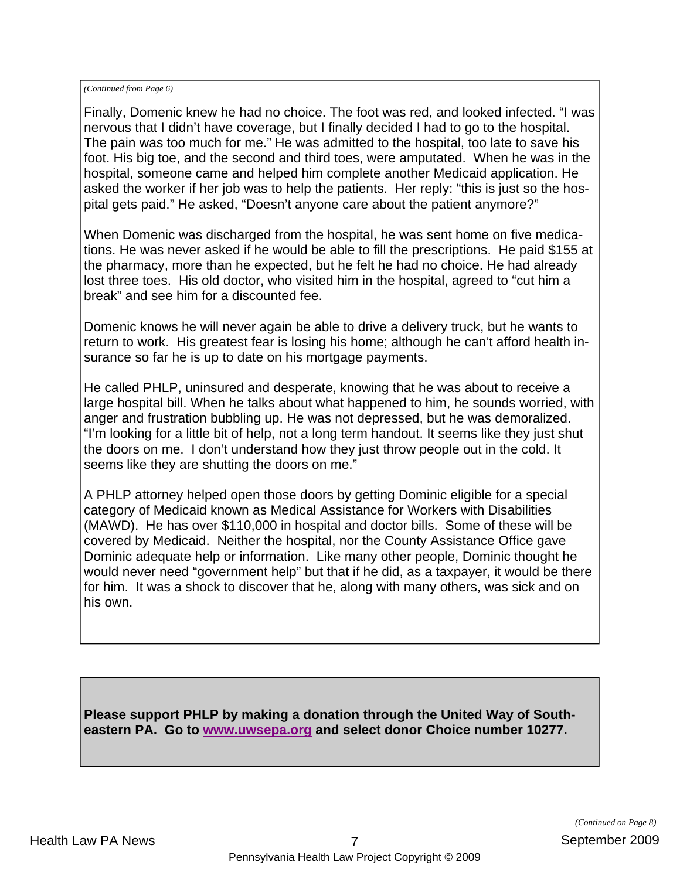*(Continued from Page 6)* 

Finally, Domenic knew he had no choice. The foot was red, and looked infected. "I was nervous that I didn't have coverage, but I finally decided I had to go to the hospital. The pain was too much for me." He was admitted to the hospital, too late to save his foot. His big toe, and the second and third toes, were amputated. When he was in the hospital, someone came and helped him complete another Medicaid application. He asked the worker if her job was to help the patients. Her reply: "this is just so the hospital gets paid." He asked, "Doesn't anyone care about the patient anymore?"

When Domenic was discharged from the hospital, he was sent home on five medications. He was never asked if he would be able to fill the prescriptions. He paid \$155 at the pharmacy, more than he expected, but he felt he had no choice. He had already lost three toes. His old doctor, who visited him in the hospital, agreed to "cut him a break" and see him for a discounted fee.

Domenic knows he will never again be able to drive a delivery truck, but he wants to return to work. His greatest fear is losing his home; although he can't afford health insurance so far he is up to date on his mortgage payments.

He called PHLP, uninsured and desperate, knowing that he was about to receive a large hospital bill. When he talks about what happened to him, he sounds worried, with anger and frustration bubbling up. He was not depressed, but he was demoralized. "I'm looking for a little bit of help, not a long term handout. It seems like they just shut the doors on me. I don't understand how they just throw people out in the cold. It seems like they are shutting the doors on me."

A PHLP attorney helped open those doors by getting Dominic eligible for a special category of Medicaid known as Medical Assistance for Workers with Disabilities (MAWD). He has over \$110,000 in hospital and doctor bills. Some of these will be covered by Medicaid. Neither the hospital, nor the County Assistance Office gave Dominic adequate help or information. Like many other people, Dominic thought he would never need "government help" but that if he did, as a taxpayer, it would be there for him. It was a shock to discover that he, along with many others, was sick and on his own.

**Please support PHLP by making a donation through the United Way of Southeastern PA. Go to www.uwsepa.org and select donor Choice number 10277.**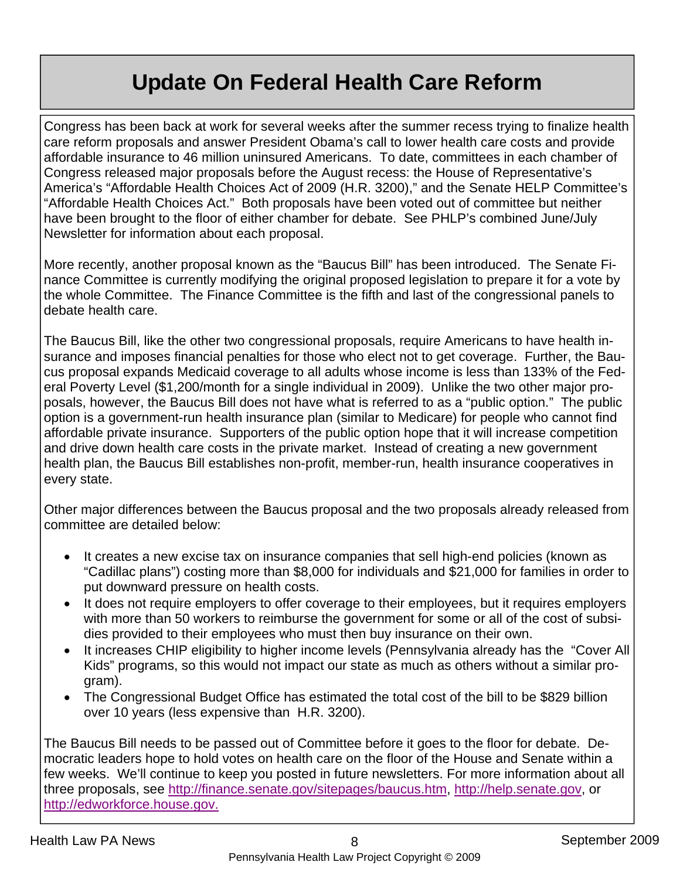## **Update On Federal Health Care Reform**

Congress has been back at work for several weeks after the summer recess trying to finalize health care reform proposals and answer President Obama's call to lower health care costs and provide affordable insurance to 46 million uninsured Americans. To date, committees in each chamber of Congress released major proposals before the August recess: the House of Representative's America's "Affordable Health Choices Act of 2009 (H.R. 3200)," and the Senate HELP Committee's "Affordable Health Choices Act." Both proposals have been voted out of committee but neither have been brought to the floor of either chamber for debate. See PHLP's combined June/July Newsletter for information about each proposal.

More recently, another proposal known as the "Baucus Bill" has been introduced. The Senate Finance Committee is currently modifying the original proposed legislation to prepare it for a vote by the whole Committee. The Finance Committee is the fifth and last of the congressional panels to debate health care.

The Baucus Bill, like the other two congressional proposals, require Americans to have health insurance and imposes financial penalties for those who elect not to get coverage. Further, the Baucus proposal expands Medicaid coverage to all adults whose income is less than 133% of the Federal Poverty Level (\$1,200/month for a single individual in 2009). Unlike the two other major proposals, however, the Baucus Bill does not have what is referred to as a "public option." The public option is a government-run health insurance plan (similar to Medicare) for people who cannot find affordable private insurance. Supporters of the public option hope that it will increase competition and drive down health care costs in the private market. Instead of creating a new government health plan, the Baucus Bill establishes non-profit, member-run, health insurance cooperatives in every state.

Other major differences between the Baucus proposal and the two proposals already released from committee are detailed below:

- It creates a new excise tax on insurance companies that sell high-end policies (known as "Cadillac plans") costing more than \$8,000 for individuals and \$21,000 for families in order to put downward pressure on health costs.
- It does not require employers to offer coverage to their employees, but it requires employers with more than 50 workers to reimburse the government for some or all of the cost of subsidies provided to their employees who must then buy insurance on their own.
- It increases CHIP eligibility to higher income levels (Pennsylvania already has the "Cover All Kids" programs, so this would not impact our state as much as others without a similar program).
- The Congressional Budget Office has estimated the total cost of the bill to be \$829 billion over 10 years (less expensive than H.R. 3200).

The Baucus Bill needs to be passed out of Committee before it goes to the floor for debate. Democratic leaders hope to hold votes on health care on the floor of the House and Senate within a few weeks. We'll continue to keep you posted in future newsletters. For more information about all three proposals, see http://finance.senate.gov/sitepages/baucus.htm, http://help.senate.gov, or http://edworkforce.house.gov.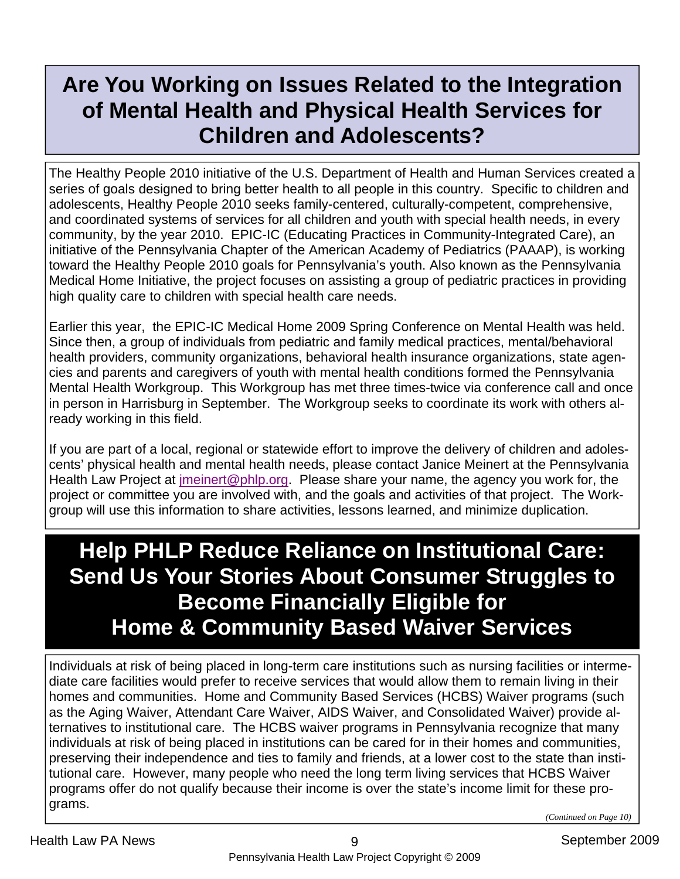### **Are You Working on Issues Related to the Integration of Mental Health and Physical Health Services for Children and Adolescents?**

The Healthy People 2010 initiative of the U.S. Department of Health and Human Services created a series of goals designed to bring better health to all people in this country. Specific to children and adolescents, Healthy People 2010 seeks family-centered, culturally-competent, comprehensive, and coordinated systems of services for all children and youth with special health needs, in every community, by the year 2010. EPIC-IC (Educating Practices in Community-Integrated Care), an initiative of the Pennsylvania Chapter of the American Academy of Pediatrics (PAAAP), is working toward the Healthy People 2010 goals for Pennsylvania's youth. Also known as the Pennsylvania Medical Home Initiative, the project focuses on assisting a group of pediatric practices in providing high quality care to children with special health care needs.

Earlier this year, the EPIC-IC Medical Home 2009 Spring Conference on Mental Health was held. Since then, a group of individuals from pediatric and family medical practices, mental/behavioral health providers, community organizations, behavioral health insurance organizations, state agencies and parents and caregivers of youth with mental health conditions formed the Pennsylvania Mental Health Workgroup. This Workgroup has met three times-twice via conference call and once in person in Harrisburg in September. The Workgroup seeks to coordinate its work with others already working in this field.

If you are part of a local, regional or statewide effort to improve the delivery of children and adolescents' physical health and mental health needs, please contact Janice Meinert at the Pennsylvania Health Law Project at jmeinert@phlp.org. Please share your name, the agency you work for, the project or committee you are involved with, and the goals and activities of that project. The Workgroup will use this information to share activities, lessons learned, and minimize duplication.

## **Help PHLP Reduce Reliance on Institutional Care: Send Us Your Stories About Consumer Struggles to Become Financially Eligible for Home & Community Based Waiver Services**

Individuals at risk of being placed in long-term care institutions such as nursing facilities or intermediate care facilities would prefer to receive services that would allow them to remain living in their homes and communities. Home and Community Based Services (HCBS) Waiver programs (such as the Aging Waiver, Attendant Care Waiver, AIDS Waiver, and Consolidated Waiver) provide alternatives to institutional care. The HCBS waiver programs in Pennsylvania recognize that many individuals at risk of being placed in institutions can be cared for in their homes and communities, preserving their independence and ties to family and friends, at a lower cost to the state than institutional care. However, many people who need the long term living services that HCBS Waiver programs offer do not qualify because their income is over the state's income limit for these programs.

*(Continued on Page 10)*